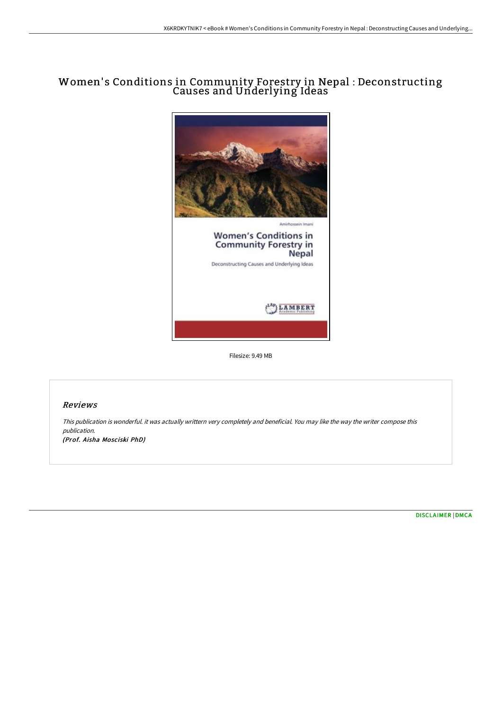## Women' s Conditions in Community Forestry in Nepal : Deconstructing Causes and Underlying Ideas



Filesize: 9.49 MB

## Reviews

This publication is wonderful. it was actually writtern very completely and beneficial. You may like the way the writer compose this publication. (Prof. Aisha Mosciski PhD)

[DISCLAIMER](http://techno-pub.tech/disclaimer.html) | [DMCA](http://techno-pub.tech/dmca.html)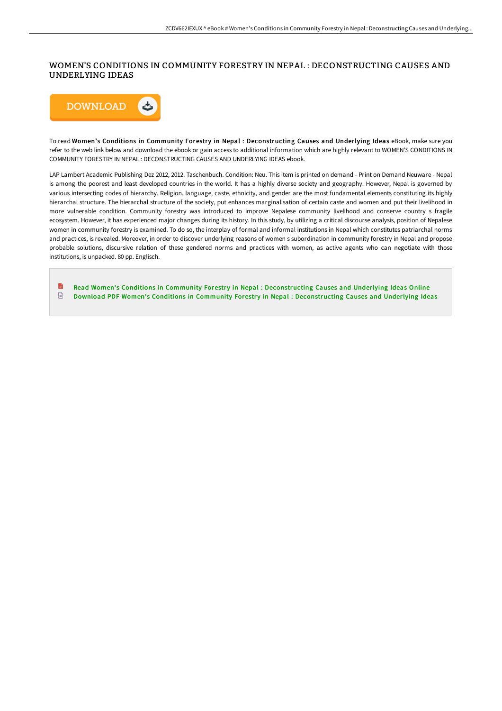## WOMEN'S CONDITIONS IN COMMUNITY FORESTRY IN NEPAL : DECONSTRUCTING CAUSES AND UNDERLYING IDEAS



To read Women's Conditions in Community Forestry in Nepal : Deconstructing Causes and Underlying Ideas eBook, make sure you refer to the web link below and download the ebook or gain access to additional information which are highly relevant to WOMEN'S CONDITIONS IN COMMUNITY FORESTRY IN NEPAL : DECONSTRUCTING CAUSES AND UNDERLYING IDEAS ebook.

LAP Lambert Academic Publishing Dez 2012, 2012. Taschenbuch. Condition: Neu. This item is printed on demand - Print on Demand Neuware - Nepal is among the poorest and least developed countries in the world. It has a highly diverse society and geography. However, Nepal is governed by various intersecting codes of hierarchy. Religion, language, caste, ethnicity, and gender are the most fundamental elements constituting its highly hierarchal structure. The hierarchal structure of the society, put enhances marginalisation of certain caste and women and put their livelihood in more vulnerable condition. Community forestry was introduced to improve Nepalese community livelihood and conserve country s fragile ecosystem. However, it has experienced major changes during its history. In this study, by utilizing a critical discourse analysis, position of Nepalese women in community forestry is examined. To do so, the interplay of formal and informal institutions in Nepal which constitutes patriarchal norms and practices, is revealed. Moreover, in order to discover underlying reasons of women s subordination in community forestry in Nepal and propose probable solutions, discursive relation of these gendered norms and practices with women, as active agents who can negotiate with those institutions, is unpacked. 80 pp. Englisch.

Read Women's Conditions in Community Forestry in Nepal : [Deconstructing](http://techno-pub.tech/women-x27-s-conditions-in-community-forestry-in-.html) Causes and Underlying Ideas Online  $\Box$ Download PDF Women's Conditions in Community Forestry in Nepal : [Deconstructing](http://techno-pub.tech/women-x27-s-conditions-in-community-forestry-in-.html) Causes and Underlying Ideas